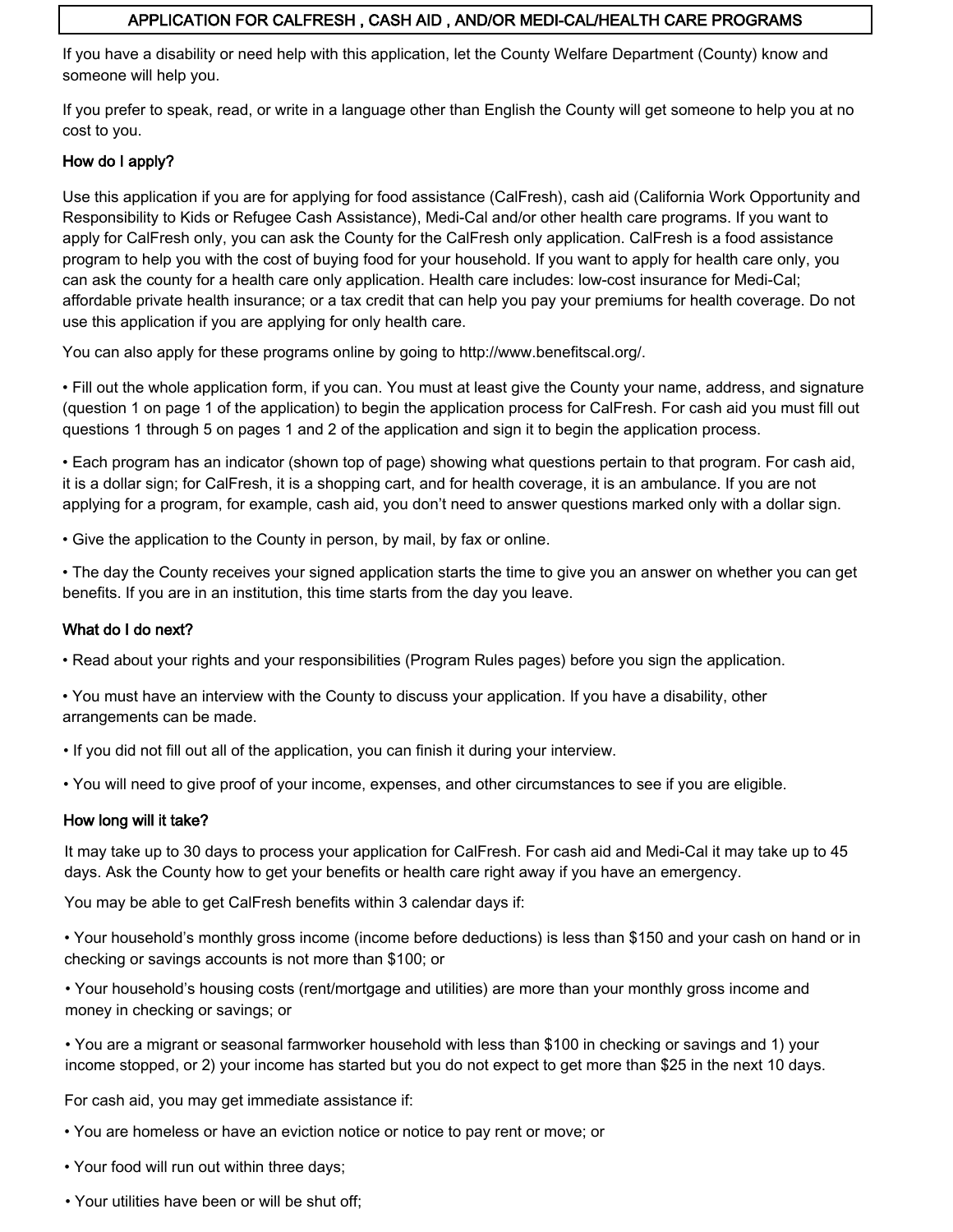# APPLICATION FOR CALFRESH , CASH AID , AND/OR MEDI-CAL/HEALTH CARE PROGRAMS

If you have a disability or need help with this application, let the County Welfare Department (County) know and someone will help you.

If you prefer to speak, read, or write in a language other than English the County will get someone to help you at no cost to you.

# How do I apply?

Use this application if you are for applying for food assistance (CalFresh), cash aid (California Work Opportunity and Responsibility to Kids or Refugee Cash Assistance), Medi-Cal and/or other health care programs. If you want to apply for CalFresh only, you can ask the County for the CalFresh only application. CalFresh is a food assistance program to help you with the cost of buying food for your household. If you want to apply for health care only, you can ask the county for a health care only application. Health care includes: low-cost insurance for Medi-Cal; affordable private health insurance; or a tax credit that can help you pay your premiums for health coverage. Do not use this application if you are applying for only health care.

You can also apply for these programs online by going to http://www.benefitscal.org/.

• Fill out the whole application form, if you can. You must at least give the County your name, address, and signature (question 1 on page 1 of the application) to begin the application process for CalFresh. For cash aid you must fill out questions 1 through 5 on pages 1 and 2 of the application and sign it to begin the application process.

• Each program has an indicator (shown top of page) showing what questions pertain to that program. For cash aid, it is a dollar sign; for CalFresh, it is a shopping cart, and for health coverage, it is an ambulance. If you are not applying for a program, for example, cash aid, you don't need to answer questions marked only with a dollar sign.

• Give the application to the County in person, by mail, by fax or online.

• The day the County receives your signed application starts the time to give you an answer on whether you can get benefits. If you are in an institution, this time starts from the day you leave.

# What do I do next?

• Read about your rights and your responsibilities (Program Rules pages) before you sign the application.

• You must have an interview with the County to discuss your application. If you have a disability, other arrangements can be made.

• If you did not fill out all of the application, you can finish it during your interview.

• You will need to give proof of your income, expenses, and other circumstances to see if you are eligible.

## How long will it take?

It may take up to 30 days to process your application for CalFresh. For cash aid and Medi-Cal it may take up to 45 days. Ask the County how to get your benefits or health care right away if you have an emergency.

You may be able to get CalFresh benefits within 3 calendar days if:

• Your household's monthly gross income (income before deductions) is less than \$150 and your cash on hand or in checking or savings accounts is not more than \$100; or

• Your household's housing costs (rent/mortgage and utilities) are more than your monthly gross income and money in checking or savings; or

• You are a migrant or seasonal farmworker household with less than \$100 in checking or savings and 1) your income stopped, or 2) your income has started but you do not expect to get more than \$25 in the next 10 days.

For cash aid, you may get immediate assistance if:

- You are homeless or have an eviction notice or notice to pay rent or move; or
- Your food will run out within three days;
- Your utilities have been or will be shut off;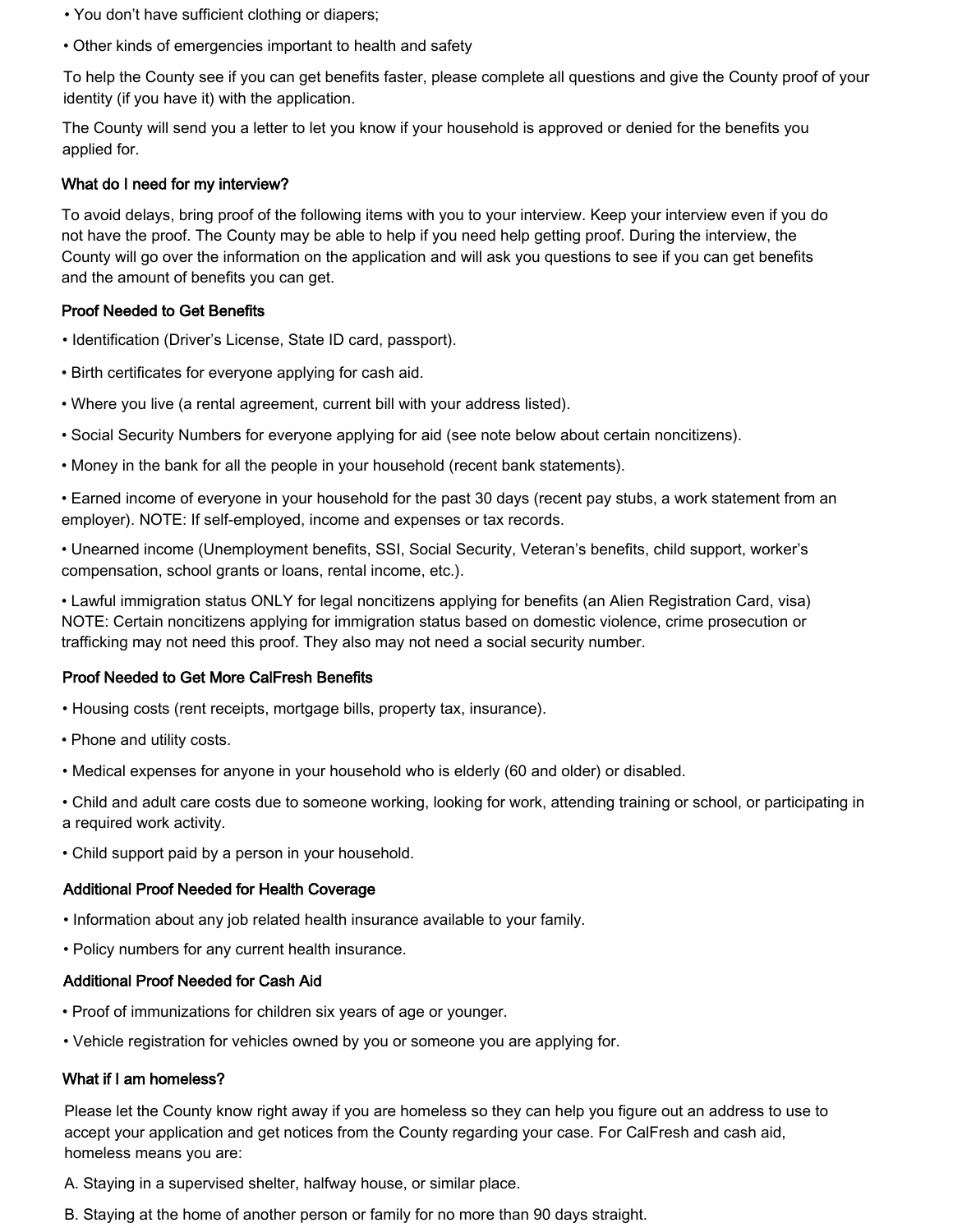- You don't have sufficient clothing or diapers;
- Other kinds of emergencies important to health and safety

To help the County see if you can get benefits faster, please complete all questions and give the County proof of your identity (if you have it) with the application.

The County will send you a letter to let you know if your household is approved or denied for the benefits you applied for.

#### What do I need for my interview?

To avoid delays, bring proof of the following items with you to your interview. Keep your interview even if you do not have the proof. The County may be able to help if you need help getting proof. During the interview, the County will go over the information on the application and will ask you questions to see if you can get benefits and the amount of benefits you can get.

#### Proof Needed to Get Benefits

- Identification (Driver's License, State ID card, passport).
- Birth certificates for everyone applying for cash aid.
- Where you live (a rental agreement, current bill with your address listed).
- Social Security Numbers for everyone applying for aid (see note below about certain noncitizens).
- Money in the bank for all the people in your household (recent bank statements).

• Earned income of everyone in your household for the past 30 days (recent pay stubs, a work statement from an employer). NOTE: If self-employed, income and expenses or tax records.

• Unearned income (Unemployment benefits, SSI, Social Security, Veteran's benefits, child support, worker's compensation, school grants or loans, rental income, etc.).

• Lawful immigration status ONLY for legal noncitizens applying for benefits (an Alien Registration Card, visa) NOTE: Certain noncitizens applying for immigration status based on domestic violence, crime prosecution or trafficking may not need this proof. They also may not need a social security number.

## Proof Needed to Get More CalFresh Benefits

- Housing costs (rent receipts, mortgage bills, property tax, insurance).
- Phone and utility costs.
- Medical expenses for anyone in your household who is elderly (60 and older) or disabled.
- Child and adult care costs due to someone working, looking for work, attending training or school, or participating in a required work activity.
- Child support paid by a person in your household.

## Additional Proof Needed for Health Coverage

- Information about any job related health insurance available to your family.
- Policy numbers for any current health insurance.

## Additional Proof Needed for Cash Aid

- Proof of immunizations for children six years of age or younger.
- Vehicle registration for vehicles owned by you or someone you are applying for.

## What if I am homeless?

Please let the County know right away if you are homeless so they can help you figure out an address to use to accept your application and get notices from the County regarding your case. For CalFresh and cash aid, homeless means you are:

- A. Staying in a supervised shelter, halfway house, or similar place.
- B. Staying at the home of another person or family for no more than 90 days straight.